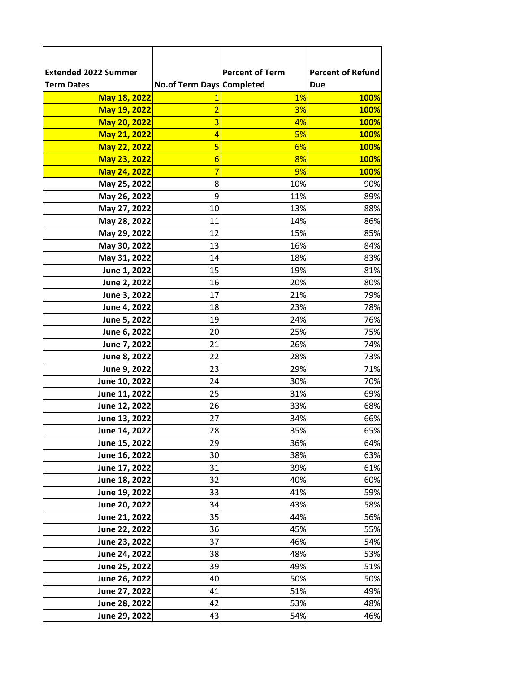| <b>Extended 2022 Summer</b>    |                           | <b>Percent of Term</b> | <b>Percent of Refund</b> |
|--------------------------------|---------------------------|------------------------|--------------------------|
| <b>Term Dates</b>              | No.of Term Days Completed |                        | <b>Due</b>               |
| May 18, 2022                   |                           | 1%                     | <b>100%</b>              |
| May 19, 2022                   | 2                         | 3%                     | <b>100%</b>              |
| May 20, 2022                   | 3                         | 4%                     | 100%                     |
| May 21, 2022                   | $\overline{a}$            | 5%                     | <b>100%</b>              |
| May 22, 2022                   | 5                         | 6%                     | <b>100%</b>              |
| May 23, 2022                   | 6                         | 8%                     | <b>100%</b>              |
| May 24, 2022                   | 7                         | 9%                     | 100%                     |
| May 25, 2022                   | 8                         | 10%                    | 90%                      |
| May 26, 2022                   | 9                         | 11%                    | 89%                      |
| May 27, 2022                   | 10                        | 13%                    | 88%                      |
| May 28, 2022                   | 11                        | 14%                    | 86%                      |
| May 29, 2022                   | 12                        | 15%                    | 85%                      |
| May 30, 2022                   | 13                        | 16%                    | 84%                      |
| May 31, 2022                   | 14                        | 18%                    | 83%                      |
| June 1, 2022                   | 15                        | 19%                    | 81%                      |
| June 2, 2022                   | 16                        | 20%                    | 80%                      |
| June 3, 2022                   | 17                        | 21%                    | 79%                      |
| June 4, 2022                   | 18                        | 23%                    | 78%                      |
| June 5, 2022                   | 19                        | 24%                    | 76%                      |
| June 6, 2022                   | 20                        | 25%                    | 75%                      |
| June 7, 2022                   | 21                        | 26%                    | 74%                      |
| June 8, 2022                   | 22                        | 28%                    | 73%                      |
| June 9, 2022                   | 23<br>24                  | 29%<br>30%             | 71%<br>70%               |
| June 10, 2022<br>June 11, 2022 | 25                        | 31%                    | 69%                      |
| June 12, 2022                  | 26                        | 33%                    | 68%                      |
| June 13, 2022                  | 27                        | 34%                    | 66%                      |
| June 14, 2022                  | 28                        | 35%                    | 65%                      |
| June 15, 2022                  | 29                        | 36%                    | 64%                      |
| June 16, 2022                  | 30                        | 38%                    | 63%                      |
| June 17, 2022                  | 31                        | 39%                    | 61%                      |
| June 18, 2022                  | 32                        | 40%                    | 60%                      |
| June 19, 2022                  | 33                        | 41%                    | 59%                      |
| June 20, 2022                  | 34                        | 43%                    | 58%                      |
| June 21, 2022                  | 35                        | 44%                    | 56%                      |
| June 22, 2022                  | 36                        | 45%                    | 55%                      |
| June 23, 2022                  | 37                        | 46%                    | 54%                      |
| June 24, 2022                  | 38                        | 48%                    | 53%                      |
| June 25, 2022                  | 39                        | 49%                    | 51%                      |
| June 26, 2022                  | 40                        | 50%                    | 50%                      |
| June 27, 2022                  | 41                        | 51%                    | 49%                      |
| June 28, 2022                  | 42                        | 53%                    | 48%                      |
| June 29, 2022                  | 43                        | 54%                    | 46%                      |